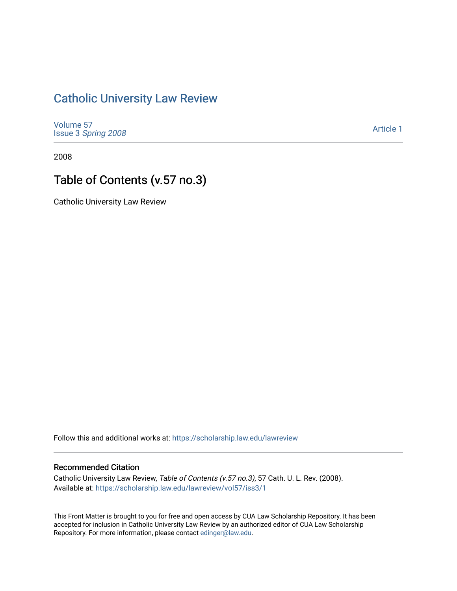# [Catholic University Law Review](https://scholarship.law.edu/lawreview)

[Volume 57](https://scholarship.law.edu/lawreview/vol57) Issue 3 [Spring 2008](https://scholarship.law.edu/lawreview/vol57/iss3) 

[Article 1](https://scholarship.law.edu/lawreview/vol57/iss3/1) 

2008

# Table of Contents (v.57 no.3)

Catholic University Law Review

Follow this and additional works at: [https://scholarship.law.edu/lawreview](https://scholarship.law.edu/lawreview?utm_source=scholarship.law.edu%2Flawreview%2Fvol57%2Fiss3%2F1&utm_medium=PDF&utm_campaign=PDFCoverPages)

#### Recommended Citation

Catholic University Law Review, Table of Contents (v.57 no.3), 57 Cath. U. L. Rev. (2008). Available at: [https://scholarship.law.edu/lawreview/vol57/iss3/1](https://scholarship.law.edu/lawreview/vol57/iss3/1?utm_source=scholarship.law.edu%2Flawreview%2Fvol57%2Fiss3%2F1&utm_medium=PDF&utm_campaign=PDFCoverPages)

This Front Matter is brought to you for free and open access by CUA Law Scholarship Repository. It has been accepted for inclusion in Catholic University Law Review by an authorized editor of CUA Law Scholarship Repository. For more information, please contact [edinger@law.edu.](mailto:edinger@law.edu)